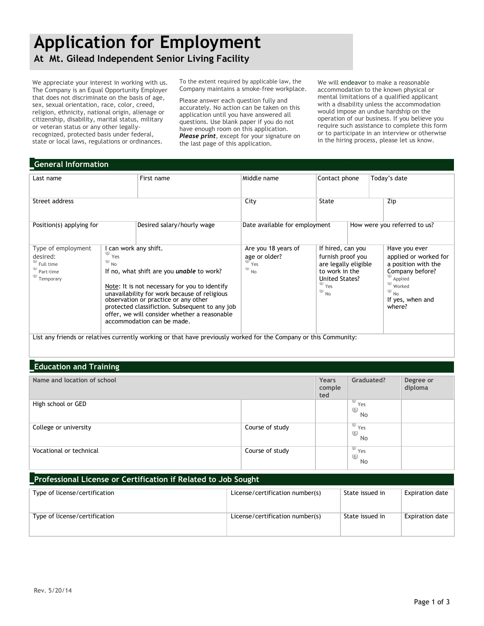# **Application for Employment**

**At Mt. Gilead Independent Senior Living Facility**

We appreciate your interest in working with us. The Company is an Equal Opportunity Employer that does not discriminate on the basis of age, sex, sexual orientation, race, color, creed, religion, ethnicity, national origin, alienage or citizenship, disability, marital status, military or veteran status or any other legallyrecognized, protected basis under federal, state or local laws, regulations or ordinances.

To the extent required by applicable law, the Company maintains a smoke-free workplace.

Please answer each question fully and accurately. No action can be taken on this application until you have answered all questions. Use blank paper if you do not have enough room on this application. *Please print*, except for your signature on the last page of this application.

We will endeavor to make a reasonable accommodation to the known physical or mental limitations of a qualified applicant with a disability unless the accommodation would impose an undue hardship on the operation of our business. If you believe you require such assistance to complete this form or to participate in an interview or otherwise in the hiring process, please let us know.

# **General Information**

| Last name                                                                                                           |                                                                                                                                                                                                                                                                                                                                                                                        | First name                 | Middle name                                                               | Contact phone                                                                                                                                                                                                                                             |  | Today's date                                                                                         |  |
|---------------------------------------------------------------------------------------------------------------------|----------------------------------------------------------------------------------------------------------------------------------------------------------------------------------------------------------------------------------------------------------------------------------------------------------------------------------------------------------------------------------------|----------------------------|---------------------------------------------------------------------------|-----------------------------------------------------------------------------------------------------------------------------------------------------------------------------------------------------------------------------------------------------------|--|------------------------------------------------------------------------------------------------------|--|
| Street address                                                                                                      |                                                                                                                                                                                                                                                                                                                                                                                        |                            | City                                                                      | State                                                                                                                                                                                                                                                     |  | Zip                                                                                                  |  |
| Position(s) applying for                                                                                            |                                                                                                                                                                                                                                                                                                                                                                                        | Desired salary/hourly wage | Date available for employment                                             |                                                                                                                                                                                                                                                           |  | How were you referred to us?                                                                         |  |
| Type of employment<br>desired:<br>$\omega$ Full time<br>Part-time<br>$\overset{\text{\tiny{(6)}}}{\circ}$ Temporary | I can work any shift.<br>(6)<br>Yes<br>$(b)$<br><b>No</b><br>If no, what shift are you <i>unable</i> to work?<br>Note: It is not necessary for you to identify<br>unavailability for work because of religious<br>observation or practice or any other<br>protected classifiction. Subsequent to any job<br>offer, we will consider whether a reasonable<br>accommodation can be made. |                            | Are you 18 years of<br>age or older?<br>Yes<br>$\omega$<br>N <sub>o</sub> | If hired, can you<br>furnish proof you<br>are legally eligible<br>to work in the<br>United States?<br>Applied<br>$\circled{\scriptstyle\circ}$<br>$\omega$ Yes<br>Worked<br>(6)<br>$\circled{\scriptstyle\circ}$<br>N <sub>o</sub><br><b>No</b><br>where? |  | Have you ever<br>applied or worked for<br>a position with the<br>Company before?<br>If yes, when and |  |
| List any friends or relatives currently working or that have previously worked for the Company or this Community:   |                                                                                                                                                                                                                                                                                                                                                                                        |                            |                                                                           |                                                                                                                                                                                                                                                           |  |                                                                                                      |  |

# **Education and Training**

| Name and location of school |                 |  | Graduated?                                                                | Degree or<br>diploma |
|-----------------------------|-----------------|--|---------------------------------------------------------------------------|----------------------|
| High school or GED          |                 |  | $\overline{\overset{\circ}{\mathsf{Y}}\mathsf{es}}$<br>$\circledS$<br>No  |                      |
| College or university       | Course of study |  | $\sqrt{\frac{60}{10}}$ Yes<br>$6$<br>No                                   |                      |
| Vocational or technical     | Course of study |  | $\overline{\overset{\circ}{\mathsf{y}}\mathsf{e}}\mathsf{s}$<br>$6$<br>No |                      |

## **Professional License or Certification if Related to Job Sought**

| Type of license/certification | License/certification number(s) | State issued in | Expiration date |
|-------------------------------|---------------------------------|-----------------|-----------------|
| Type of license/certification | License/certification number(s) | State issued in | Expiration date |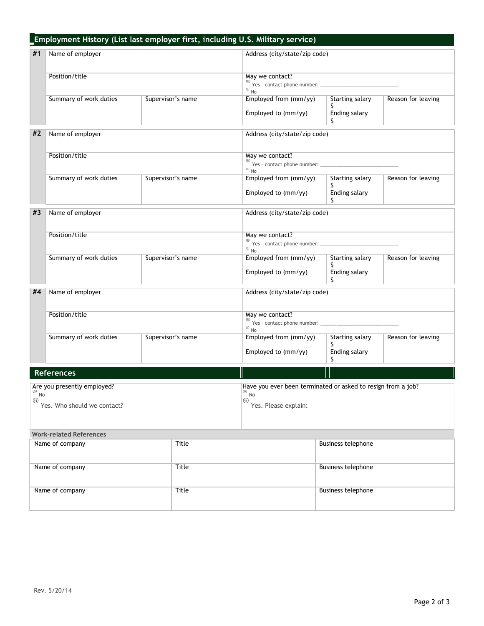|                          | Employment History (List last employer first, including U.S. Military service) |                   |                 |                                                              |                              |                    |  |
|--------------------------|--------------------------------------------------------------------------------|-------------------|-----------------|--------------------------------------------------------------|------------------------------|--------------------|--|
| #1<br>Name of employer   |                                                                                |                   |                 | Address (city/state/zip code)                                |                              |                    |  |
|                          |                                                                                |                   |                 |                                                              |                              |                    |  |
| Position/title           |                                                                                |                   | May we contact? |                                                              |                              |                    |  |
|                          |                                                                                |                   |                 | $\circledcirc$ No                                            |                              |                    |  |
|                          | Summary of work duties                                                         | Supervisor's name |                 | Employed from (mm/yy)                                        | <b>Starting salary</b><br>S  | Reason for leaving |  |
|                          |                                                                                |                   |                 | Employed to (mm/yy)                                          | Ending salary<br>S.          |                    |  |
| #2                       | Name of employer                                                               |                   |                 | Address (city/state/zip code)                                |                              |                    |  |
|                          |                                                                                |                   |                 |                                                              |                              |                    |  |
|                          | Position/title                                                                 |                   |                 | May we contact?<br>$\circledcirc$ No                         |                              |                    |  |
|                          | Summary of work duties                                                         | Supervisor's name |                 | Employed from (mm/yy)                                        | <b>Starting salary</b>       | Reason for leaving |  |
|                          |                                                                                |                   |                 | Employed to (mm/yy)                                          | Ending salary<br>Ŝ.          |                    |  |
| #3                       | Name of employer                                                               |                   |                 | Address (city/state/zip code)                                |                              |                    |  |
|                          |                                                                                |                   |                 |                                                              |                              |                    |  |
|                          | Position/title                                                                 |                   |                 | May we contact?                                              |                              |                    |  |
|                          |                                                                                |                   |                 | $\circledcirc$ No                                            |                              |                    |  |
|                          | Summary of work duties                                                         | Supervisor's name |                 | Employed from (mm/yy)                                        | <b>Starting salary</b><br>S. | Reason for leaving |  |
|                          |                                                                                |                   |                 | Employed to (mm/yy)                                          | Ending salary<br>S.          |                    |  |
| #4                       | Name of employer                                                               |                   |                 | Address (city/state/zip code)                                |                              |                    |  |
| Position/title           |                                                                                |                   |                 | May we contact?<br>$\circledcirc$ No                         |                              |                    |  |
|                          |                                                                                |                   |                 |                                                              |                              |                    |  |
|                          | Summary of work duties<br>Supervisor's name                                    |                   |                 | <b>Starting salary</b><br>Employed from (mm/yy)              |                              | Reason for leaving |  |
|                          |                                                                                |                   |                 | Employed to (mm/yy)                                          | Ś.<br>Ending salary<br>\$    |                    |  |
|                          | <b>References</b>                                                              |                   |                 |                                                              |                              |                    |  |
|                          | Are you presently employed?                                                    |                   |                 | Have you ever been terminated or asked to resign from a job? |                              |                    |  |
| No<br>$\circledcirc$     |                                                                                |                   |                 | $\overset{\text{\tiny{(6)}}}{\circ}$ No<br>$\circledcirc$    |                              |                    |  |
|                          | Yes. Who should we contact?                                                    |                   |                 | Yes. Please explain:                                         |                              |                    |  |
|                          |                                                                                |                   |                 |                                                              |                              |                    |  |
|                          | <b>Work-related References</b>                                                 |                   |                 |                                                              |                              |                    |  |
| Name of company<br>Title |                                                                                |                   |                 |                                                              | <b>Business telephone</b>    |                    |  |
| Name of company          |                                                                                |                   | <b>Title</b>    |                                                              | <b>Business telephone</b>    |                    |  |
| Name of company          |                                                                                |                   | Title           |                                                              | <b>Business telephone</b>    |                    |  |